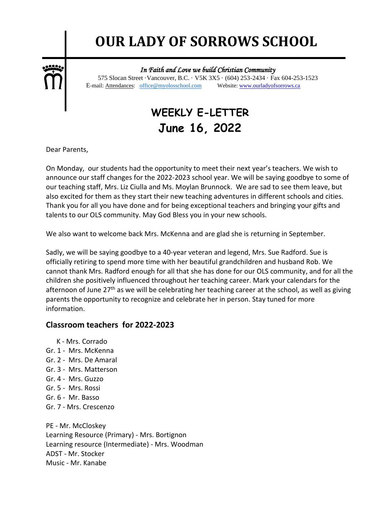# **OUR LADY OF SORROWS SCHOOL**



٦ *In Faith and Love we build Christian Community* 

 575 Slocan Street ·Vancouver, B.C. · V5K 3X5 · (604) 253-2434 · Fax 604-253-1523 E-mail: Attendances: office@myolosschool.com Website: www.ourladyofsorrows.ca

# **WEEKLY E-LETTER June 16, 2022**

Dear Parents,

On Monday, our students had the opportunity to meet their next year's teachers. We wish to announce our staff changes for the 2022-2023 school year. We will be saying goodbye to some of our teaching staff, Mrs. Liz Ciulla and Ms. Moylan Brunnock. We are sad to see them leave, but also excited for them as they start their new teaching adventures in different schools and cities. Thank you for all you have done and for being exceptional teachers and bringing your gifts and talents to our OLS community. May God Bless you in your new schools.

We also want to welcome back Mrs. McKenna and are glad she is returning in September.

Sadly, we will be saying goodbye to a 40-year veteran and legend, Mrs. Sue Radford. Sue is officially retiring to spend more time with her beautiful grandchildren and husband Rob. We cannot thank Mrs. Radford enough for all that she has done for our OLS community, and for all the children she positively influenced throughout her teaching career. Mark your calendars for the afternoon of June 27<sup>th</sup> as we will be celebrating her teaching career at the school, as well as giving parents the opportunity to recognize and celebrate her in person. Stay tuned for more information.

## **Classroom teachers for 2022-2023**

- K Mrs. Corrado
- Gr. 1 Mrs. McKenna
- Gr. 2 Mrs. De Amaral
- Gr. 3 Mrs. Matterson
- Gr. 4 Mrs. Guzzo
- Gr. 5 Mrs. Rossi
- Gr. 6 Mr. Basso
- Gr. 7 Mrs. Crescenzo

PE - Mr. McCloskey Learning Resource (Primary) - Mrs. Bortignon Learning resource (Intermediate) - Mrs. Woodman ADST - Mr. Stocker Music - Mr. Kanabe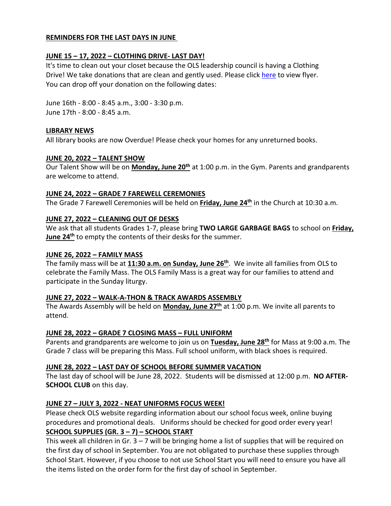#### **REMINDERS FOR THE LAST DAYS IN JUNE**

### **JUNE 15 – 17, 2022 – CLOTHING DRIVE- LAST DAY!**

It's time to clean out your closet because the OLS leadership council is having a Clothing Drive! We take donations that are clean and gently used. Please click [here](file:///C:/Users/Clothing%20Drive/Clothing%20drive%20flyer%202022.pdf) to view flyer. You can drop off your donation on the following dates:

June 16th - 8:00 - 8:45 a.m., 3:00 - 3:30 p.m. June 17th - 8:00 - 8:45 a.m.

#### **LIBRARY NEWS**

All library books are now Overdue! Please check your homes for any unreturned books.

#### **JUNE 20, 2022 – TALENT SHOW**

Our Talent Show will be on **Monday, June 20th** at 1:00 p.m. in the Gym. Parents and grandparents are welcome to attend.

#### **JUNE 24, 2022 – GRADE 7 FAREWELL CEREMONIES**

The Grade 7 Farewell Ceremonies will be held on **Friday, June 24th** in the Church at 10:30 a.m.

#### **JUNE 27, 2022 – CLEANING OUT OF DESKS**

We ask that all students Grades 1-7, please bring **TWO LARGE GARBAGE BAGS** to school on **Friday, June 24th** to empty the contents of their desks for the summer.

#### **JUNE 26, 2022 – FAMILY MASS**

The family mass will be at **11:30 a.m. on Sunday, June 26th** . We invite all families from OLS to celebrate the Family Mass. The OLS Family Mass is a great way for our families to attend and participate in the Sunday liturgy.

#### **JUNE 27, 2022 – WALK-A-THON & TRACK AWARDS ASSEMBLY**

The Awards Assembly will be held on **Monday, June 27th** at 1:00 p.m. We invite all parents to attend.

#### **JUNE 28, 2022 – GRADE 7 CLOSING MASS – FULL UNIFORM**

Parents and grandparents are welcome to join us on **Tuesday, June 28th** for Mass at 9:00 a.m. The Grade 7 class will be preparing this Mass. Full school uniform, with black shoes is required.

#### **JUNE 28, 2022 – LAST DAY OF SCHOOL BEFORE SUMMER VACATION**

The last day of school will be June 28, 2022. Students will be dismissed at 12:00 p.m. **NO AFTER-SCHOOL CLUB** on this day.

#### **JUNE 27 – JULY 3, 2022 - NEAT UNIFORMS FOCUS WEEK!**

Please check OLS website regarding information about our school focus week, online buying procedures and promotional deals. Uniforms should be checked for good order every year! **SCHOOL SUPPLIES (GR. 3 – 7) – SCHOOL START**

This week all children in Gr.  $3 - 7$  will be bringing home a list of supplies that will be required on the first day of school in September. You are not obligated to purchase these supplies through School Start. However, if you choose to not use School Start you will need to ensure you have all the items listed on the order form for the first day of school in September.